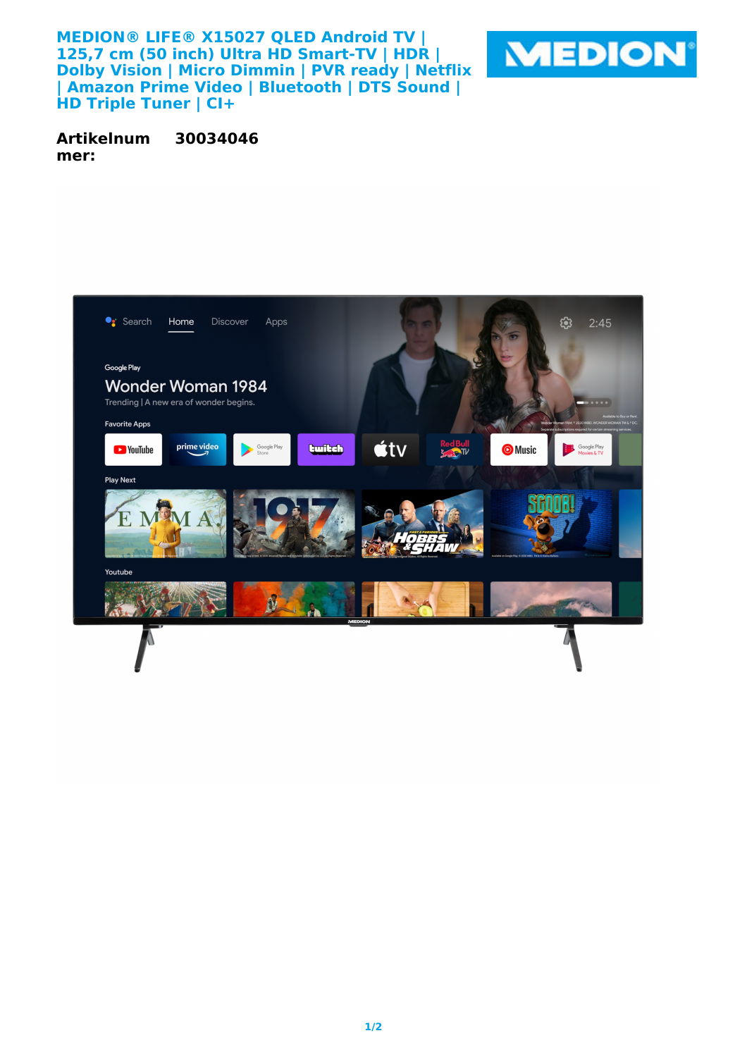**MEDION® LIFE® X15027 QLED Android TV | 125,7 cm (50 inch) Ultra HD Smart-TV | HDR | Dolby Vision | Micro Dimmin | PVR ready | Netflix | Amazon Prime Video | Bluetooth | DTS Sound | HD Triple Tuner | CI+**



**Artikelnum mer: 30034046**